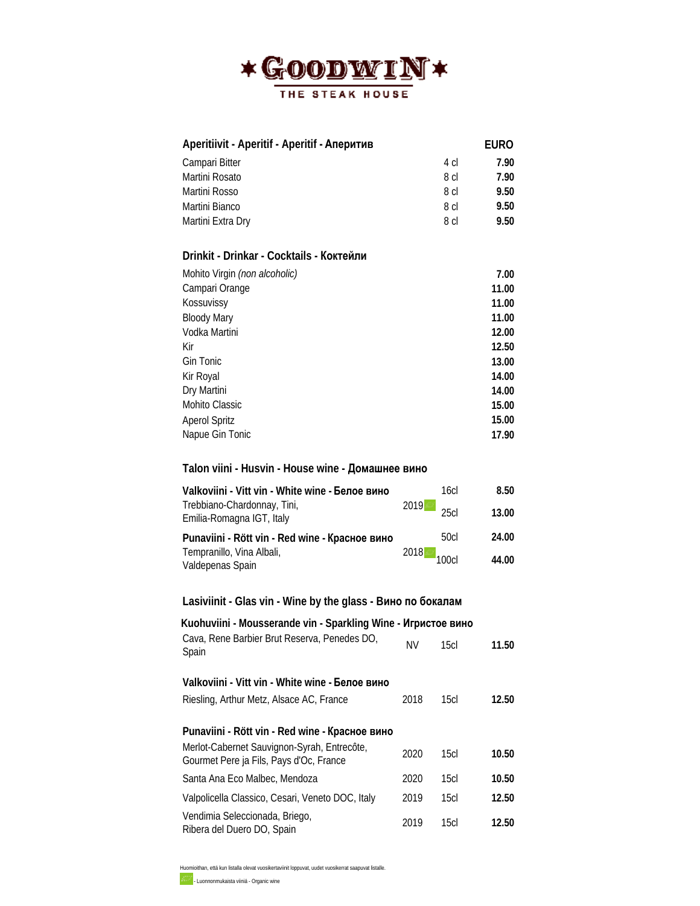

| Aperitiivit - Aperitif - Aperitif - Аперитив |      | EURO  |
|----------------------------------------------|------|-------|
| Campari Bitter                               | 4 cl | 7.90  |
| Martini Rosato                               | 8 cl | 7.90  |
| Martini Rosso                                | 8 cl | 9.50  |
| Martini Bianco                               | 8 cl | 9.50  |
| Martini Extra Dry                            | 8 cl | 9.50  |
|                                              |      |       |
| Drinkit - Drinkar - Cocktails - Коктейли     |      |       |
| Mohito Virgin (non alcoholic)                |      | 7.00  |
| Campari Orange                               |      | 11.00 |
| Kossuvissy                                   |      | 11.00 |
| <b>Bloody Mary</b>                           |      | 11.00 |
| Vodka Martini                                |      | 12.00 |
| Kir                                          |      | 12.50 |
| Gin Tonic                                    |      | 13.00 |
| Kir Royal                                    |      | 14.00 |
| Dry Martini                                  |      | 14.00 |
| Mohito Classic                               |      | 15.00 |
| <b>Aperol Spritz</b>                         |      | 15.00 |
| Napue Gin Tonic                              |      | 17.90 |

## **Talon viini - Husvin - House wine - Домашнее вино**

| Valkoviini - Vitt vin - White wine - <b>Белое вино</b>   | 16c <sub>l</sub> | 8.50  |
|----------------------------------------------------------|------------------|-------|
| Trebbiano-Chardonnay, Tini,<br>Emilia-Romagna IGT, Italy | 2019<br>25c      | 13.00 |
| Punaviini - Rött vin - Red wine - Красное вино           | 50cl             | 24.00 |
| Tempranillo, Vina Albali,<br>Valdepenas Spain            | $2018$ $100c$    | 44.00 |

# **Lasiviinit - Glas vin - Wine by the glass - Bино по бокалам**

| Kuohuviini - Mousserande vin - Sparkling Wine - Игристое вино                                 |      |                  |       |
|-----------------------------------------------------------------------------------------------|------|------------------|-------|
| Cava, Rene Barbier Brut Reserva, Penedes DO,<br>Spain                                         | ΝV   | 15c              | 11.50 |
| Valkoviini - Vitt vin - White wine - Белое вино                                               |      |                  |       |
| Riesling, Arthur Metz, Alsace AC, France                                                      | 2018 | 15c <sub>l</sub> | 12.50 |
| Punaviini - Rött vin - Red wine - Красное вино<br>Merlot-Cabernet Sauvignon-Syrah, Entrecôte, |      |                  |       |
| Gourmet Pere ja Fils, Pays d'Oc, France                                                       | 2020 | 15c              | 10.50 |
| Santa Ana Eco Malbec, Mendoza                                                                 | 2020 | 15c <sub>l</sub> | 10.50 |
| Valpolicella Classico, Cesari, Veneto DOC, Italy                                              | 2019 | 15c <sub>l</sub> | 12.50 |
| Vendimia Seleccionada, Briego,<br>Ribera del Duero DO, Spain                                  | 2019 | 15cl             | 12.50 |

Huomioithan, että kun listalla olevat vuosikertaviinit loppuvat, uudet vuosikerrat saapuvat listalle. - Luonnonmukaista viiniä - Organic wine

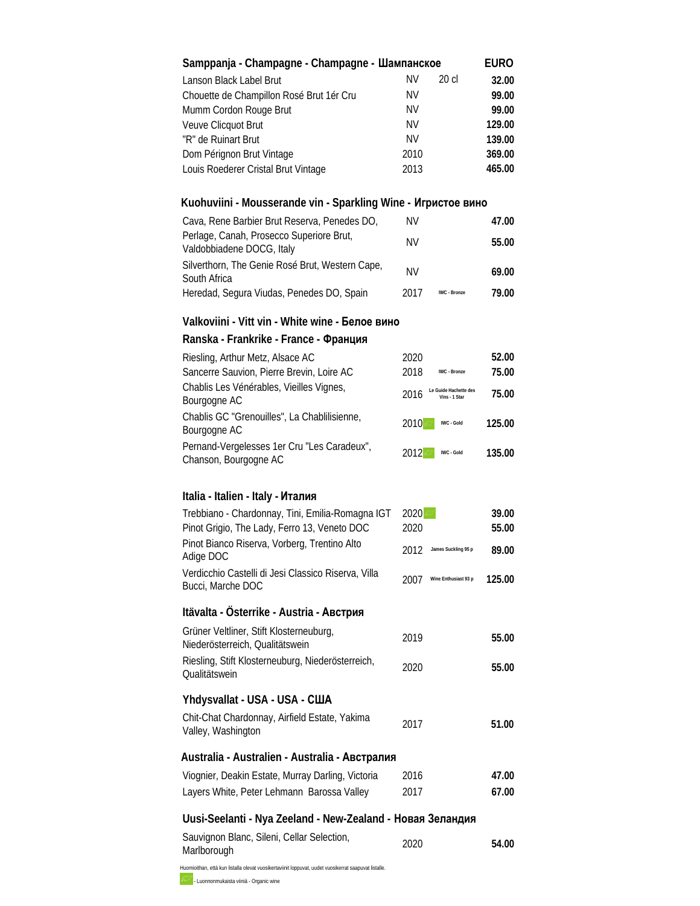| Samppanja - Champagne - Champagne - Шампанское                |           |         | <b>EURO</b> |
|---------------------------------------------------------------|-----------|---------|-------------|
| Lanson Black Label Brut                                       | <b>NV</b> | $20$ cl | 32.00       |
| Chouette de Champillon Rosé Brut 1ér Cru                      | <b>NV</b> |         | 99.00       |
| Mumm Cordon Rouge Brut                                        | <b>NV</b> |         | 99.00       |
| Veuve Clicquot Brut                                           | <b>NV</b> |         | 129.00      |
| "R" de Ruinart Brut                                           | <b>NV</b> |         | 139.00      |
| Dom Pérignon Brut Vintage                                     | 2010      |         | 369.00      |
| Louis Roederer Cristal Brut Vintage                           | 2013      |         | 465.00      |
| Kuohuviini - Mousserande vin - Sparkling Wine - Игристое вино |           |         |             |
| Cave, Dana Barbier Drut Desarya, Danadas DO                   | NN L      |         | 17 OO       |

| Cava, Rene Barbier Brut Reserva, Penedes DO,                          | ΝV        |              | 47.00 |
|-----------------------------------------------------------------------|-----------|--------------|-------|
| Perlage, Canah, Prosecco Superiore Brut,<br>Valdobbiadene DOCG, Italy | ΝV        |              | 55.00 |
| Silverthorn, The Genie Rosé Brut, Western Cape,<br>South Africa       | <b>NV</b> |              | 69.00 |
| Heredad, Segura Viudas, Penedes DO, Spain                             | 2017      | IWC - Bronze | 79.00 |

### **Valkoviini - Vitt vin - White wine - Белое вино**

#### **Ranska - Frankrike - France - Франция**

| Riesling, Arthur Metz, Alsace AC                                     | 2020                                           | 52.00  |
|----------------------------------------------------------------------|------------------------------------------------|--------|
| Sancerre Sauvion, Pierre Brevin, Loire AC                            | 2018<br>IWC - Bronze                           | 75.00  |
| Chablis Les Vénérables, Vieilles Vignes,<br>Bourgogne AC             | Le Guide Hachette des<br>2016<br>Vins - 1 Star | 75.00  |
| Chablis GC "Grenouilles", La Chablilisienne,<br>Bourgogne AC         | 2010<br>IWC - Gold                             | 125.00 |
| Pernand-Vergelesses 1er Cru "Les Caradeux",<br>Chanson, Bourgogne AC | 2012<br>IWC - Gold                             | 135.00 |

#### **Italia - Italien - Italy - Италия**

| Trebbiano - Chardonnay, Tini, Emilia-Romagna IGT                           | 2020                         | 39.00  |
|----------------------------------------------------------------------------|------------------------------|--------|
| Pinot Grigio, The Lady, Ferro 13, Veneto DOC                               | 2020                         | 55.00  |
| Pinot Bianco Riserva, Vorberg, Trentino Alto<br>Adige DOC                  | 2012<br>James Suckling 95 p  | 89.00  |
| Verdicchio Castelli di Jesi Classico Riserva, Villa<br>Bucci, Marche DOC   | 2007<br>Wine Enthusiast 93 p | 125.00 |
| Itävalta - Österrike - Austria - Австрия                                   |                              |        |
| Grüner Veltliner, Stift Klosterneuburg,<br>Niederösterreich, Qualitätswein | 2019                         | 55.00  |

## **Yhdysvallat - USA - USA - США**

| Chit-Chat Chardonnay, Airfield Estate, Yakima | 2017 |       |
|-----------------------------------------------|------|-------|
| Valley, Washington                            |      | 51.00 |

Riesling, Stift Klosterneuburg, Niederösterreich, Qualitätswein <sup>2020</sup> **55.00**

## **Australia - Australien - Australia - Австралия**

| Viognier, Deakin Estate, Murray Darling, Victoria | 2016 | 47.00 |
|---------------------------------------------------|------|-------|
| Layers White, Peter Lehmann Barossa Valley        | 2017 | 67.00 |

## **Uusi-Seelanti - Nya Zeeland - New-Zealand - Новая Зеландия**

| Sauvignon Blanc, Sileni, Cellar Selection, | 2020 | 54.00 |
|--------------------------------------------|------|-------|
| Marlborough                                |      |       |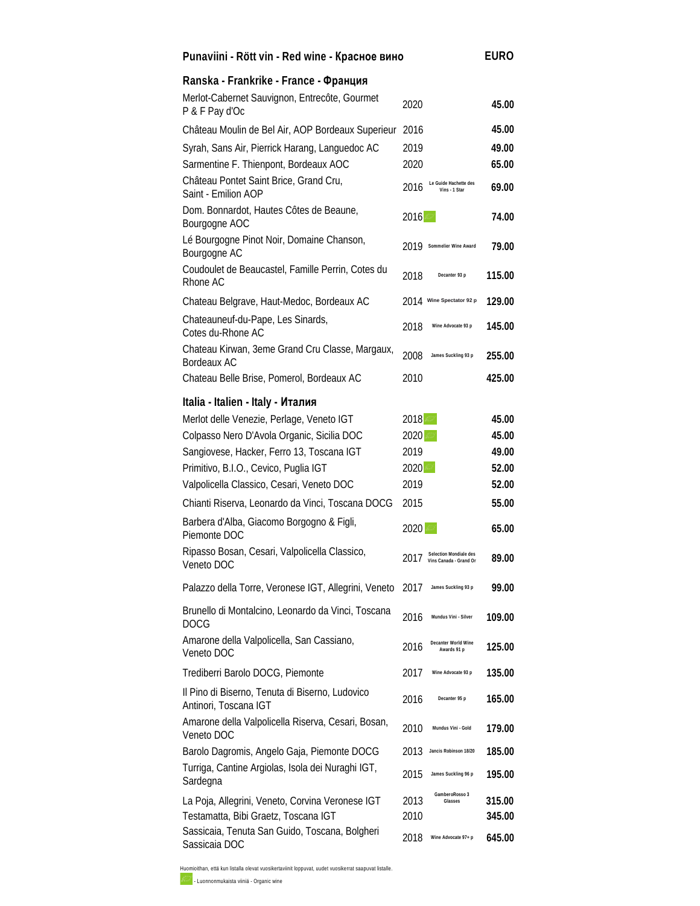| Punaviini - Rött vin - Red wine - Красное вино                           |                             | EURO                                   |        |
|--------------------------------------------------------------------------|-----------------------------|----------------------------------------|--------|
| Ranska - Frankrike - France - Франция                                    |                             |                                        |        |
| Merlot-Cabernet Sauvignon, Entrecôte, Gourmet<br>P & F Pay d'Oc          | 2020                        |                                        | 45.00  |
| Château Moulin de Bel Air, AOP Bordeaux Superieur                        | 2016                        |                                        | 45.00  |
| Syrah, Sans Air, Pierrick Harang, Languedoc AC                           | 2019                        |                                        | 49.00  |
| Sarmentine F. Thienpont, Bordeaux AOC                                    | 2020                        |                                        | 65.00  |
| Château Pontet Saint Brice, Grand Cru,<br>Saint - Emilion AOP            | 2016                        | Le Guide Hachette des<br>Vins - 1 Star | 69.00  |
| Dom. Bonnardot, Hautes Côtes de Beaune,<br>Bourgogne AOC                 | 2016                        |                                        | 74.00  |
| Lé Bourgogne Pinot Noir, Domaine Chanson,<br>Bourgogne AC                | 2019                        | Sommelier Wine Award                   | 79.00  |
| Coudoulet de Beaucastel, Famille Perrin, Cotes du<br>Rhone AC            | 2018                        | Decanter 93 p                          | 115.00 |
| Chateau Belgrave, Haut-Medoc, Bordeaux AC                                | 2014 Wine Spectator 92 p    |                                        | 129.00 |
| Chateauneuf-du-Pape, Les Sinards,<br>Cotes du-Rhone AC                   | 2018                        | Wine Advocate 93 p                     | 145.00 |
| Chateau Kirwan, 3eme Grand Cru Classe, Margaux,<br>Bordeaux AC           | 2008                        | James Suckling 93 p                    | 255.00 |
| Chateau Belle Brise, Pomerol, Bordeaux AC                                | 2010                        |                                        | 425.00 |
| Italia - Italien - Italy - Италия                                        |                             |                                        |        |
| Merlot delle Venezie, Perlage, Veneto IGT                                | 2018                        |                                        | 45.00  |
| Colpasso Nero D'Avola Organic, Sicilia DOC                               | 2020                        |                                        | 45.00  |
| Sangiovese, Hacker, Ferro 13, Toscana IGT                                | 2019                        |                                        | 49.00  |
| Primitivo, B.I.O., Cevico, Puglia IGT                                    | 2020                        |                                        | 52.00  |
| Valpolicella Classico, Cesari, Veneto DOC                                | 2019                        |                                        | 52.00  |
| Chianti Riserva, Leonardo da Vinci, Toscana DOCG                         | 2015                        |                                        | 55.00  |
| Barbera d'Alba, Giacomo Borgogno & Figli,<br>Piemonte DOC                | 2020                        |                                        | 65.00  |
| Ripasso Bosan, Cesari, Valpolicella Classico,<br>Veneto DOC              | 2017 Selection Mondiale des |                                        | 89.00  |
| Palazzo della Torre, Veronese IGT, Allegrini, Veneto                     | 2017                        | James Suckling 93 p                    | 99.00  |
| Brunello di Montalcino, Leonardo da Vinci, Toscana<br><b>DOCG</b>        | 2016                        | Mundus Vini - Silver                   | 109.00 |
| Amarone della Valpolicella, San Cassiano,<br>Veneto DOC                  | 2016                        | Decanter World Wine<br>Awards 91 p     | 125.00 |
| Trediberri Barolo DOCG, Piemonte                                         | 2017                        | Wine Advocate 93 p                     | 135.00 |
| Il Pino di Biserno, Tenuta di Biserno, Ludovico<br>Antinori, Toscana IGT | 2016                        | Decanter 95 p                          | 165.00 |
| Amarone della Valpolicella Riserva, Cesari, Bosan,<br>Veneto DOC         | 2010                        | Mundus Vini - Gold                     | 179.00 |
| Barolo Dagromis, Angelo Gaja, Piemonte DOCG                              | 2013                        | Jancis Robinson 18/20                  | 185.00 |
| Turriga, Cantine Argiolas, Isola dei Nuraghi IGT,<br>Sardegna            | 2015                        | James Suckling 96 p                    | 195.00 |
| La Poja, Allegrini, Veneto, Corvina Veronese IGT                         | 2013                        | GamberoRosso 3<br>Glasses              | 315.00 |
| Testamatta, Bibi Graetz, Toscana IGT                                     | 2010                        |                                        | 345.00 |
| Sassicaia, Tenuta San Guido, Toscana, Bolgheri<br>Sassicaia DOC          | 2018                        | Wine Advocate 97+ p                    | 645.00 |

Huomioithan, että kun listalla olevat vuosikertaviinit loppuvat, uudet vuosikerrat saapuvat listalle.